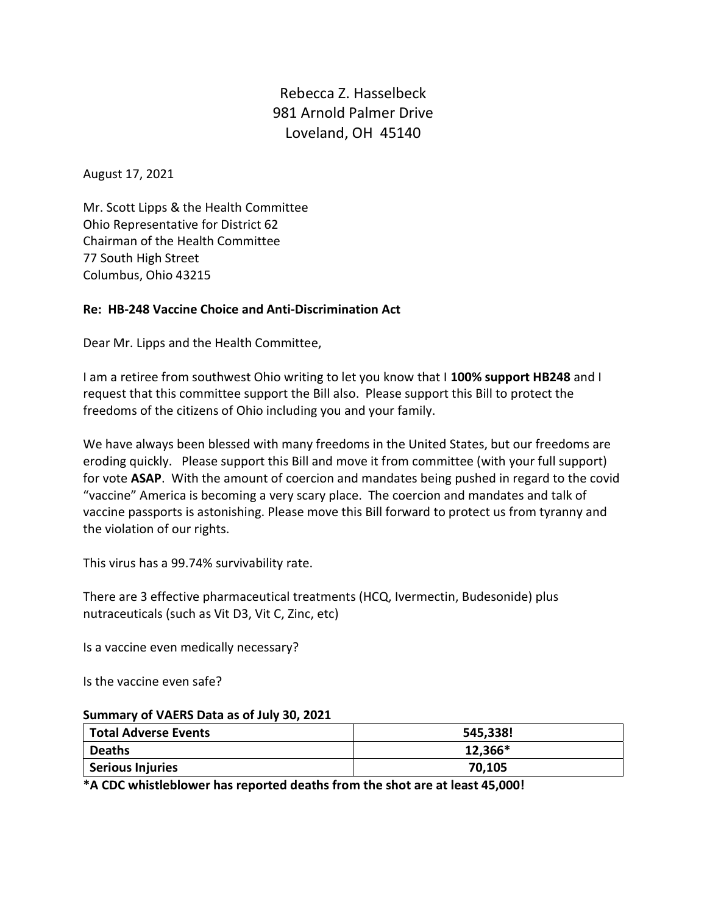Rebecca Z. Hasselbeck 981 Arnold Palmer Drive Loveland, OH 45140

August 17, 2021

Mr. Scott Lipps & the Health Committee Ohio Representative for District 62 Chairman of the Health Committee 77 South High Street Columbus, Ohio 43215

## Re: HB-248 Vaccine Choice and Anti-Discrimination Act

Dear Mr. Lipps and the Health Committee,

I am a retiree from southwest Ohio writing to let you know that I 100% support HB248 and I request that this committee support the Bill also. Please support this Bill to protect the freedoms of the citizens of Ohio including you and your family.

We have always been blessed with many freedoms in the United States, but our freedoms are eroding quickly. Please support this Bill and move it from committee (with your full support) for vote ASAP. With the amount of coercion and mandates being pushed in regard to the covid "vaccine" America is becoming a very scary place. The coercion and mandates and talk of vaccine passports is astonishing. Please move this Bill forward to protect us from tyranny and the violation of our rights.

This virus has a 99.74% survivability rate.

There are 3 effective pharmaceutical treatments (HCQ, Ivermectin, Budesonide) plus nutraceuticals (such as Vit D3, Vit C, Zinc, etc)

Is a vaccine even medically necessary?

Is the vaccine even safe?

## Summary of VAERS Data as of July 30, 2021

| <b>Total Adverse Events</b> | 545,338! |
|-----------------------------|----------|
| Deaths                      | 12,366*  |
| <b>Serious Injuries</b>     | 70,105   |

\*A CDC whistleblower has reported deaths from the shot are at least 45,000!